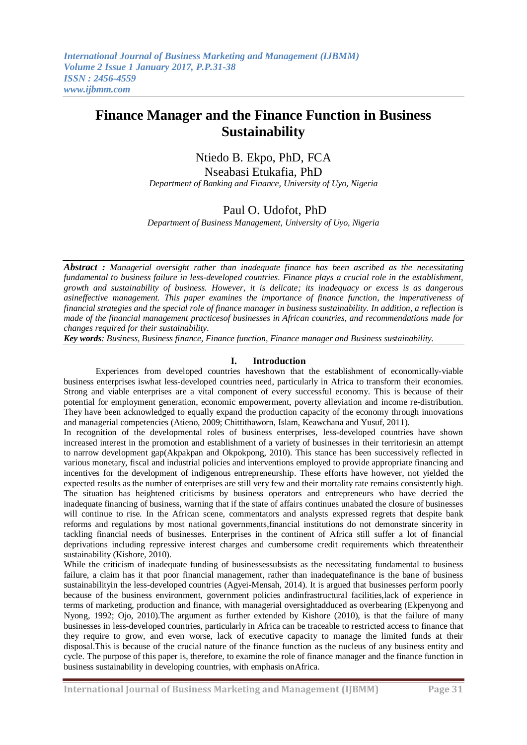# **Finance Manager and the Finance Function in Business Sustainability**

# Ntiedo B. Ekpo, PhD, FCA

Nseabasi Etukafia, PhD

*Department of Banking and Finance, University of Uyo, Nigeria*

# Paul O. Udofot, PhD

*Department of Business Management, University of Uyo, Nigeria*

*Abstract : Managerial oversight rather than inadequate finance has been ascribed as the necessitating fundamental to business failure in less-developed countries. Finance plays a crucial role in the establishment, growth and sustainability of business. However, it is delicate; its inadequacy or excess is as dangerous asineffective management. This paper examines the importance of finance function, the imperativeness of financial strategies and the special role of finance manager in business sustainability. In addition, a reflection is made of the financial management practicesof businesses in African countries, and recommendations made for changes required for their sustainability.*

*Key words: Business, Business finance, Finance function, Finance manager and Business sustainability.*

#### **I. Introduction**

Experiences from developed countries haveshown that the establishment of economically-viable business enterprises iswhat less-developed countries need, particularly in Africa to transform their economies. Strong and viable enterprises are a vital component of every successful economy. This is because of their potential for employment generation, economic empowerment, poverty alleviation and income re-distribution. They have been acknowledged to equally expand the production capacity of the economy through innovations and managerial competencies (Atieno, 2009; Chittithaworn, Islam, Keawchana and Yusuf, 2011).

In recognition of the developmental roles of business enterprises, less-developed countries have shown increased interest in the promotion and establishment of a variety of businesses in their territoriesin an attempt to narrow development gap(Akpakpan and Okpokpong, 2010). This stance has been successively reflected in various monetary, fiscal and industrial policies and interventions employed to provide appropriate financing and incentives for the development of indigenous entrepreneurship. These efforts have however, not yielded the expected results as the number of enterprises are still very few and their mortality rate remains consistently high. The situation has heightened criticisms by business operators and entrepreneurs who have decried the inadequate financing of business, warning that if the state of affairs continues unabated the closure of businesses will continue to rise. In the African scene, commentators and analysts expressed regrets that despite bank reforms and regulations by most national governments,financial institutions do not demonstrate sincerity in tackling financial needs of businesses. Enterprises in the continent of Africa still suffer a lot of financial deprivations including repressive interest charges and cumbersome credit requirements which threatentheir sustainability (Kishore, 2010).

While the criticism of inadequate funding of businessessubsists as the necessitating fundamental to business failure, a claim has it that poor financial management, rather than inadequatefinance is the bane of business sustainabilityin the less-developed countries (Agyei-Mensah, 2014). It is argued that businesses perform poorly because of the business environment, government policies andinfrastructural facilities,lack of experience in terms of marketing, production and finance, with managerial oversightadduced as overbearing (Ekpenyong and Nyong, 1992; Ojo, 2010).The argument as further extended by Kishore (2010), is that the failure of many businesses in less-developed countries, particularly in Africa can be traceable to restricted access to finance that they require to grow, and even worse, lack of executive capacity to manage the limited funds at their disposal.This is because of the crucial nature of the finance function as the nucleus of any business entity and cycle. The purpose of this paper is, therefore, to examine the role of finance manager and the finance function in business sustainability in developing countries, with emphasis onAfrica.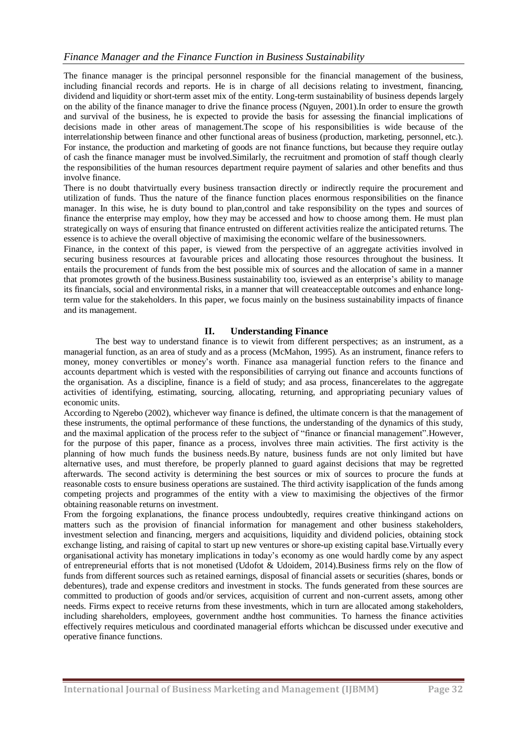The finance manager is the principal personnel responsible for the financial management of the business, including financial records and reports. He is in charge of all decisions relating to investment, financing, dividend and liquidity or short-term asset mix of the entity. Long-term sustainability of business depends largely on the ability of the finance manager to drive the finance process (Nguyen, 2001).In order to ensure the growth and survival of the business, he is expected to provide the basis for assessing the financial implications of decisions made in other areas of management.The scope of his responsibilities is wide because of the interrelationship between finance and other functional areas of business (production, marketing, personnel, etc.). For instance, the production and marketing of goods are not finance functions, but because they require outlay of cash the finance manager must be involved.Similarly, the recruitment and promotion of staff though clearly the responsibilities of the human resources department require payment of salaries and other benefits and thus involve finance.

There is no doubt thatvirtually every business transaction directly or indirectly require the procurement and utilization of funds. Thus the nature of the finance function places enormous responsibilities on the finance manager. In this wise, he is duty bound to plan,control and take responsibility on the types and sources of finance the enterprise may employ, how they may be accessed and how to choose among them. He must plan strategically on ways of ensuring that finance entrusted on different activities realize the anticipated returns. The essence is to achieve the overall objective of maximising the economic welfare of the businessowners.

Finance, in the context of this paper, is viewed from the perspective of an aggregate activities involved in securing business resources at favourable prices and allocating those resources throughout the business. It entails the procurement of funds from the best possible mix of sources and the allocation of same in a manner that promotes growth of the business.Business sustainability too, isviewed as an enterprise's ability to manage its financials, social and environmental risks, in a manner that will createacceptable outcomes and enhance longterm value for the stakeholders. In this paper, we focus mainly on the business sustainability impacts of finance and its management.

## **II. Understanding Finance**

The best way to understand finance is to viewit from different perspectives; as an instrument, as a managerial function, as an area of study and as a process (McMahon, 1995). As an instrument, finance refers to money, money convertibles or money's worth. Finance asa managerial function refers to the finance and accounts department which is vested with the responsibilities of carrying out finance and accounts functions of the organisation. As a discipline, finance is a field of study; and asa process, financerelates to the aggregate activities of identifying, estimating, sourcing, allocating, returning, and appropriating pecuniary values of economic units.

According to Ngerebo (2002), whichever way finance is defined, the ultimate concern is that the management of these instruments, the optimal performance of these functions, the understanding of the dynamics of this study, and the maximal application of the process refer to the subject of "finance or financial management".However, for the purpose of this paper, finance as a process, involves three main activities. The first activity is the planning of how much funds the business needs.By nature, business funds are not only limited but have alternative uses, and must therefore, be properly planned to guard against decisions that may be regretted afterwards. The second activity is determining the best sources or mix of sources to procure the funds at reasonable costs to ensure business operations are sustained. The third activity isapplication of the funds among competing projects and programmes of the entity with a view to maximising the objectives of the firmor obtaining reasonable returns on investment.

From the forgoing explanations, the finance process undoubtedly, requires creative thinkingand actions on matters such as the provision of financial information for management and other business stakeholders, investment selection and financing, mergers and acquisitions, liquidity and dividend policies, obtaining stock exchange listing, and raising of capital to start up new ventures or shore-up existing capital base.Virtually every organisational activity has monetary implications in today's economy as one would hardly come by any aspect of entrepreneurial efforts that is not monetised (Udofot & Udoidem, 2014).Business firms rely on the flow of funds from different sources such as retained earnings, disposal of financial assets or securities (shares, bonds or debentures), trade and expense creditors and investment in stocks. The funds generated from these sources are committed to production of goods and/or services, acquisition of current and non-current assets, among other needs. Firms expect to receive returns from these investments, which in turn are allocated among stakeholders, including shareholders, employees, government andthe host communities. To harness the finance activities effectively requires meticulous and coordinated managerial efforts whichcan be discussed under executive and operative finance functions.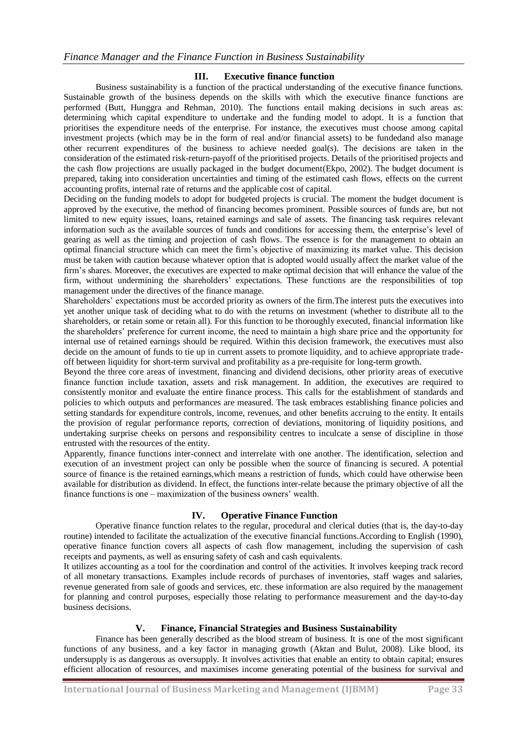#### **III. Executive finance function**

Business sustainability is a function of the practical understanding of the executive finance functions. Sustainable growth of the business depends on the skills with which the executive finance functions are performed (Butt, Hunggra and Rehman, 2010). The functions entail making decisions in such areas as: determining which capital expenditure to undertake and the funding model to adopt. It is a function that prioritises the expenditure needs of the enterprise. For instance, the executives must choose among capital investment projects (which may be in the form of real and/or financial assets) to be fundedand also manage other recurrent expenditures of the business to achieve needed goal(s). The decisions are taken in the consideration of the estimated risk-return-payoff of the prioritised projects. Details of the prioritised projects and the cash flow projections are usually packaged in the budget document(Ekpo, 2002). The budget document is prepared, taking into consideration uncertainties and timing of the estimated cash flows, effects on the current accounting profits, internal rate of returns and the applicable cost of capital.

Deciding on the funding models to adopt for budgeted projects is crucial. The moment the budget document is approved by the executive, the method of financing becomes prominent. Possible sources of funds are, but not limited to new equity issues, loans, retained earnings and sale of assets. The financing task requires relevant information such as the available sources of funds and conditions for accessing them, the enterprise's level of gearing as well as the timing and projection of cash flows. The essence is for the management to obtain an optimal financial structure which can meet the firm's objective of maximizing its market value. This decision must be taken with caution because whatever option that is adopted would usually affect the market value of the firm's shares. Moreover, the executives are expected to make optimal decision that will enhance the value of the firm, without undermining the shareholders' expectations. These functions are the responsibilities of top management under the directives of the finance manage.

Shareholders' expectations must be accorded priority as owners of the firm.The interest puts the executives into yet another unique task of deciding what to do with the returns on investment (whether to distribute all to the shareholders, or retain some or retain all). For this function to be thoroughly executed, financial information like the shareholders' preference for current income, the need to maintain a high share price and the opportunity for internal use of retained earnings should be required. Within this decision framework, the executives must also decide on the amount of funds to tie up in current assets to promote liquidity, and to achieve appropriate tradeoff between liquidity for short-term survival and profitability as a pre-requisite for long-term growth.

Beyond the three core areas of investment, financing and dividend decisions, other priority areas of executive finance function include taxation, assets and risk management. In addition, the executives are required to consistently monitor and evaluate the entire finance process. This calls for the establishment of standards and policies to which outputs and performances are measured. The task embraces establishing finance policies and setting standards for expenditure controls, income, revenues, and other benefits accruing to the entity. It entails the provision of regular performance reports, correction of deviations, monitoring of liquidity positions, and undertaking surprise cheeks on persons and responsibility centres to inculcate a sense of discipline in those entrusted with the resources of the entity.

Apparently, finance functions inter-connect and interrelate with one another. The identification, selection and execution of an investment project can only be possible when the source of financing is secured. A potential source of finance is the retained earnings,which means a restriction of funds, which could have otherwise been available for distribution as dividend. In effect, the functions inter-relate because the primary objective of all the finance functions is one – maximization of the business owners' wealth.

### **IV. Operative Finance Function**

Operative finance function relates to the regular, procedural and clerical duties (that is, the day-to-day routine) intended to facilitate the actualization of the executive financial functions.According to English (1990), operative finance function covers all aspects of cash flow management, including the supervision of cash receipts and payments, as well as ensuring safety of cash and cash equivalents.

It utilizes accounting as a tool for the coordination and control of the activities. It involves keeping track record of all monetary transactions. Examples include records of purchases of inventories, staff wages and salaries, revenue generated from sale of goods and services, etc. these information are also required by the management for planning and control purposes, especially those relating to performance measurement and the day-to-day business decisions.

### **V. Finance, Financial Strategies and Business Sustainability**

Finance has been generally described as the blood stream of business. It is one of the most significant functions of any business, and a key factor in managing growth (Aktan and Bulut, 2008). Like blood, its undersupply is as dangerous as oversupply. It involves activities that enable an entity to obtain capital; ensures efficient allocation of resources, and maximises income generating potential of the business for survival and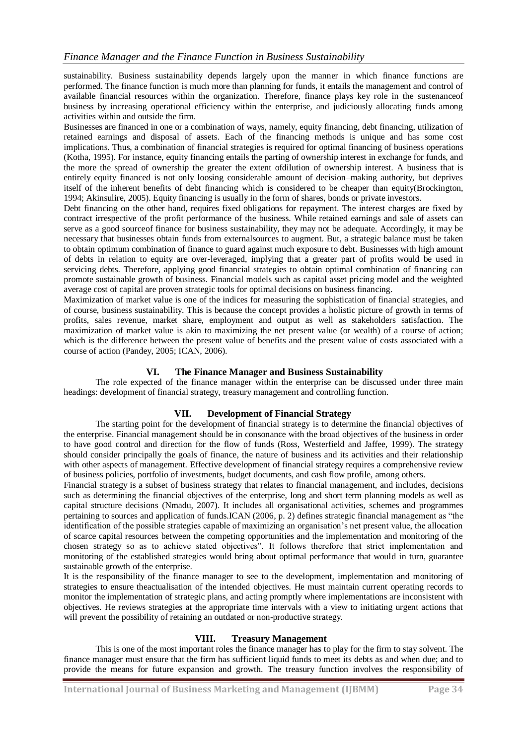sustainability. Business sustainability depends largely upon the manner in which finance functions are performed. The finance function is much more than planning for funds, it entails the management and control of available financial resources within the organization. Therefore, finance plays key role in the sustenanceof business by increasing operational efficiency within the enterprise, and judiciously allocating funds among activities within and outside the firm.

Businesses are financed in one or a combination of ways, namely, equity financing, debt financing, utilization of retained earnings and disposal of assets. Each of the financing methods is unique and has some cost implications. Thus, a combination of financial strategies is required for optimal financing of business operations (Kotha, 1995). For instance, equity financing entails the parting of ownership interest in exchange for funds, and the more the spread of ownership the greater the extent ofdilution of ownership interest. A business that is entirely equity financed is not only loosing considerable amount of decision–making authority, but deprives itself of the inherent benefits of debt financing which is considered to be cheaper than equity(Brockington, 1994; Akinsulire, 2005). Equity financing is usually in the form of shares, bonds or private investors.

Debt financing on the other hand, requires fixed obligations for repayment. The interest charges are fixed by contract irrespective of the profit performance of the business. While retained earnings and sale of assets can serve as a good sourceof finance for business sustainability, they may not be adequate. Accordingly, it may be necessary that businesses obtain funds from externalsources to augment. But, a strategic balance must be taken to obtain optimum combination of finance to guard against much exposure to debt. Businesses with high amount of debts in relation to equity are over-leveraged, implying that a greater part of profits would be used in servicing debts. Therefore, applying good financial strategies to obtain optimal combination of financing can promote sustainable growth of business. Financial models such as capital asset pricing model and the weighted average cost of capital are proven strategic tools for optimal decisions on business financing.

Maximization of market value is one of the indices for measuring the sophistication of financial strategies, and of course, business sustainability. This is because the concept provides a holistic picture of growth in terms of profits, sales revenue, market share, employment and output as well as stakeholders satisfaction. The maximization of market value is akin to maximizing the net present value (or wealth) of a course of action; which is the difference between the present value of benefits and the present value of costs associated with a course of action (Pandey, 2005; ICAN, 2006).

## **VI. The Finance Manager and Business Sustainability**

The role expected of the finance manager within the enterprise can be discussed under three main headings: development of financial strategy, treasury management and controlling function.

### **VII. Development of Financial Strategy**

The starting point for the development of financial strategy is to determine the financial objectives of the enterprise. Financial management should be in consonance with the broad objectives of the business in order to have good control and direction for the flow of funds (Ross, Westerfield and Jaffee, 1999). The strategy should consider principally the goals of finance, the nature of business and its activities and their relationship with other aspects of management. Effective development of financial strategy requires a comprehensive review of business policies, portfolio of investments, budget documents, and cash flow profile, among others.

Financial strategy is a subset of business strategy that relates to financial management, and includes, decisions such as determining the financial objectives of the enterprise, long and short term planning models as well as capital structure decisions (Nmadu, 2007). It includes all organisational activities, schemes and programmes pertaining to sources and application of funds.ICAN (2006, p. 2) defines strategic financial management as "the identification of the possible strategies capable of maximizing an organisation's net present value, the allocation of scarce capital resources between the competing opportunities and the implementation and monitoring of the chosen strategy so as to achieve stated objectives". It follows therefore that strict implementation and monitoring of the established strategies would bring about optimal performance that would in turn, guarantee sustainable growth of the enterprise.

It is the responsibility of the finance manager to see to the development, implementation and monitoring of strategies to ensure theactualisation of the intended objectives. He must maintain current operating records to monitor the implementation of strategic plans, and acting promptly where implementations are inconsistent with objectives. He reviews strategies at the appropriate time intervals with a view to initiating urgent actions that will prevent the possibility of retaining an outdated or non-productive strategy.

### **VIII. Treasury Management**

This is one of the most important roles the finance manager has to play for the firm to stay solvent. The finance manager must ensure that the firm has sufficient liquid funds to meet its debts as and when due; and to provide the means for future expansion and growth. The treasury function involves the responsibility of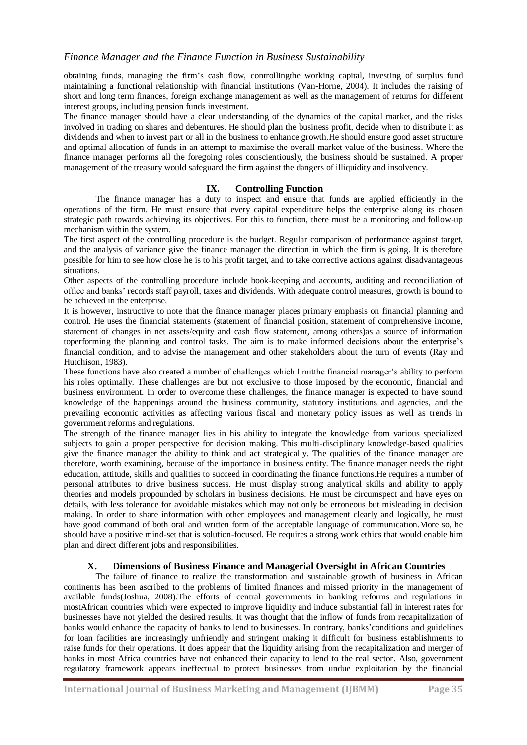obtaining funds, managing the firm's cash flow, controllingthe working capital, investing of surplus fund maintaining a functional relationship with financial institutions (Van-Horne, 2004). It includes the raising of short and long term finances, foreign exchange management as well as the management of returns for different interest groups, including pension funds investment.

The finance manager should have a clear understanding of the dynamics of the capital market, and the risks involved in trading on shares and debentures. He should plan the business profit, decide when to distribute it as dividends and when to invest part or all in the business to enhance growth.He should ensure good asset structure and optimal allocation of funds in an attempt to maximise the overall market value of the business. Where the finance manager performs all the foregoing roles conscientiously, the business should be sustained. A proper management of the treasury would safeguard the firm against the dangers of illiquidity and insolvency.

### **IX. Controlling Function**

The finance manager has a duty to inspect and ensure that funds are applied efficiently in the operations of the firm. He must ensure that every capital expenditure helps the enterprise along its chosen strategic path towards achieving its objectives. For this to function, there must be a monitoring and follow-up mechanism within the system.

The first aspect of the controlling procedure is the budget. Regular comparison of performance against target, and the analysis of variance give the finance manager the direction in which the firm is going. It is therefore possible for him to see how close he is to his profit target, and to take corrective actions against disadvantageous situations.

Other aspects of the controlling procedure include book-keeping and accounts, auditing and reconciliation of office and banks' records staff payroll, taxes and dividends. With adequate control measures, growth is bound to be achieved in the enterprise.

It is however, instructive to note that the finance manager places primary emphasis on financial planning and control. He uses the financial statements (statement of financial position, statement of comprehensive income, statement of changes in net assets/equity and cash flow statement, among others)as a source of information toperforming the planning and control tasks. The aim is to make informed decisions about the enterprise's financial condition, and to advise the management and other stakeholders about the turn of events (Ray and Hutchison, 1983).

These functions have also created a number of challenges which limitthe financial manager's ability to perform his roles optimally. These challenges are but not exclusive to those imposed by the economic, financial and business environment. In order to overcome these challenges, the finance manager is expected to have sound knowledge of the happenings around the business community, statutory institutions and agencies, and the prevailing economic activities as affecting various fiscal and monetary policy issues as well as trends in government reforms and regulations.

The strength of the finance manager lies in his ability to integrate the knowledge from various specialized subjects to gain a proper perspective for decision making. This multi-disciplinary knowledge-based qualities give the finance manager the ability to think and act strategically. The qualities of the finance manager are therefore, worth examining, because of the importance in business entity. The finance manager needs the right education, attitude, skills and qualities to succeed in coordinating the finance functions.He requires a number of personal attributes to drive business success. He must display strong analytical skills and ability to apply theories and models propounded by scholars in business decisions. He must be circumspect and have eyes on details, with less tolerance for avoidable mistakes which may not only be erroneous but misleading in decision making. In order to share information with other employees and management clearly and logically, he must have good command of both oral and written form of the acceptable language of communication.More so, he should have a positive mind-set that is solution-focused. He requires a strong work ethics that would enable him plan and direct different jobs and responsibilities.

### **X. Dimensions of Business Finance and Managerial Oversight in African Countries**

The failure of finance to realize the transformation and sustainable growth of business in African continents has been ascribed to the problems of limited finances and missed priority in the management of available funds(Joshua, 2008).The efforts of central governments in banking reforms and regulations in mostAfrican countries which were expected to improve liquidity and induce substantial fall in interest rates for businesses have not yielded the desired results. It was thought that the inflow of funds from recapitalization of banks would enhance the capacity of banks to lend to businesses. In contrary, banks'conditions and guidelines for loan facilities are increasingly unfriendly and stringent making it difficult for business establishments to raise funds for their operations. It does appear that the liquidity arising from the recapitalization and merger of banks in most Africa countries have not enhanced their capacity to lend to the real sector. Also, government regulatory framework appears ineffectual to protect businesses from undue exploitation by the financial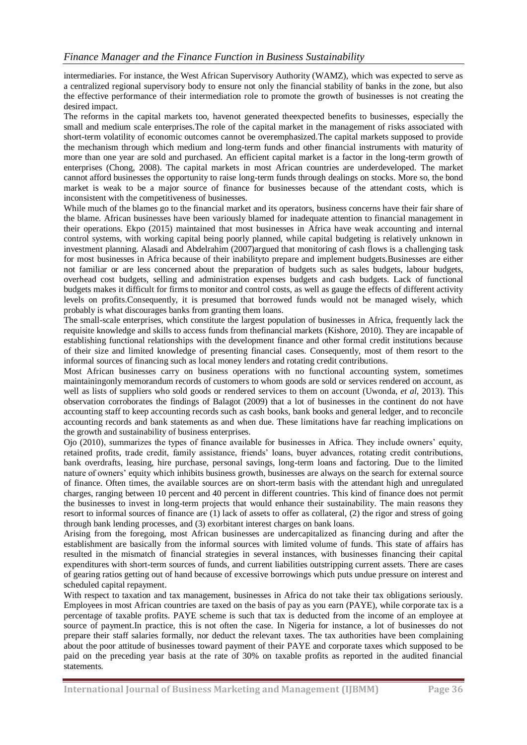intermediaries. For instance, the West African Supervisory Authority (WAMZ), which was expected to serve as a centralized regional supervisory body to ensure not only the financial stability of banks in the zone, but also the effective performance of their intermediation role to promote the growth of businesses is not creating the desired impact.

The reforms in the capital markets too, havenot generated theexpected benefits to businesses, especially the small and medium scale enterprises.The role of the capital market in the management of risks associated with short-term volatility of economic outcomes cannot be overemphasized.The capital markets supposed to provide the mechanism through which medium and long-term funds and other financial instruments with maturity of more than one year are sold and purchased. An efficient capital market is a factor in the long-term growth of enterprises (Chong, 2008). The capital markets in most African countries are underdeveloped. The market cannot afford businesses the opportunity to raise long-term funds through dealings on stocks. More so, the bond market is weak to be a major source of finance for businesses because of the attendant costs, which is inconsistent with the competitiveness of businesses.

While much of the blames go to the financial market and its operators, business concerns have their fair share of the blame. African businesses have been variously blamed for inadequate attention to financial management in their operations. Ekpo (2015) maintained that most businesses in Africa have weak accounting and internal control systems, with working capital being poorly planned, while capital budgeting is relatively unknown in investment planning. Alasadi and Abdelrahim (2007)argued that monitoring of cash flows is a challenging task for most businesses in Africa because of their inabilityto prepare and implement budgets.Businesses are either not familiar or are less concerned about the preparation of budgets such as sales budgets, labour budgets, overhead cost budgets, selling and administration expenses budgets and cash budgets. Lack of functional budgets makes it difficult for firms to monitor and control costs, as well as gauge the effects of different activity levels on profits.Consequently, it is presumed that borrowed funds would not be managed wisely, which probably is what discourages banks from granting them loans.

The small-scale enterprises, which constitute the largest population of businesses in Africa, frequently lack the requisite knowledge and skills to access funds from thefinancial markets (Kishore, 2010). They are incapable of establishing functional relationships with the development finance and other formal credit institutions because of their size and limited knowledge of presenting financial cases. Consequently, most of them resort to the informal sources of financing such as local money lenders and rotating credit contributions.

Most African businesses carry on business operations with no functional accounting system, sometimes maintainingonly memorandum records of customers to whom goods are sold or services rendered on account, as well as lists of suppliers who sold goods or rendered services to them on account (Uwonda, *et al*, 2013). This observation corroborates the findings of Balagot (2009) that a lot of businesses in the continent do not have accounting staff to keep accounting records such as cash books, bank books and general ledger, and to reconcile accounting records and bank statements as and when due. These limitations have far reaching implications on the growth and sustainability of business enterprises.

Ojo (2010), summarizes the types of finance available for businesses in Africa. They include owners' equity, retained profits, trade credit, family assistance, friends' loans, buyer advances, rotating credit contributions, bank overdrafts, leasing, hire purchase, personal savings, long-term loans and factoring. Due to the limited nature of owners' equity which inhibits business growth, businesses are always on the search for external source of finance. Often times, the available sources are on short-term basis with the attendant high and unregulated charges, ranging between 10 percent and 40 percent in different countries. This kind of finance does not permit the businesses to invest in long-term projects that would enhance their sustainability. The main reasons they resort to informal sources of finance are (1) lack of assets to offer as collateral, (2) the rigor and stress of going through bank lending processes, and (3) exorbitant interest charges on bank loans.

Arising from the foregoing, most African businesses are undercapitalized as financing during and after the establishment are basically from the informal sources with limited volume of funds. This state of affairs has resulted in the mismatch of financial strategies in several instances, with businesses financing their capital expenditures with short-term sources of funds, and current liabilities outstripping current assets. There are cases of gearing ratios getting out of hand because of excessive borrowings which puts undue pressure on interest and scheduled capital repayment.

With respect to taxation and tax management, businesses in Africa do not take their tax obligations seriously. Employees in most African countries are taxed on the basis of pay as you earn (PAYE), while corporate tax is a percentage of taxable profits. PAYE scheme is such that tax is deducted from the income of an employee at source of payment.In practice, this is not often the case. In Nigeria for instance, a lot of businesses do not prepare their staff salaries formally, nor deduct the relevant taxes. The tax authorities have been complaining about the poor attitude of businesses toward payment of their PAYE and corporate taxes which supposed to be paid on the preceding year basis at the rate of 30% on taxable profits as reported in the audited financial statements.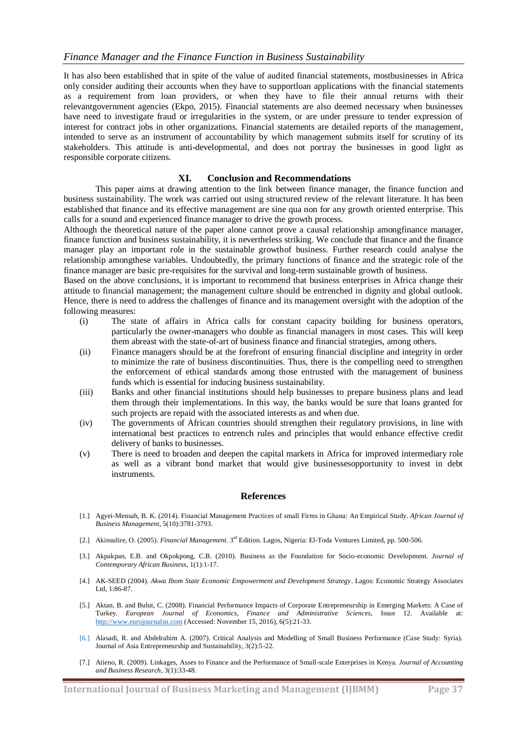It has also been established that in spite of the value of audited financial statements, mostbusinesses in Africa only consider auditing their accounts when they have to supportloan applications with the financial statements as a requirement from loan providers, or when they have to file their annual returns with their relevantgovernment agencies (Ekpo, 2015). Financial statements are also deemed necessary when businesses have need to investigate fraud or irregularities in the system, or are under pressure to tender expression of interest for contract jobs in other organizations. Financial statements are detailed reports of the management, intended to serve as an instrument of accountability by which management submits itself for scrutiny of its stakeholders. This attitude is anti-developmental, and does not portray the businesses in good light as responsible corporate citizens.

#### **XI. Conclusion and Recommendations**

This paper aims at drawing attention to the link between finance manager, the finance function and business sustainability. The work was carried out using structured review of the relevant literature. It has been established that finance and its effective management are sine qua non for any growth oriented enterprise. This calls for a sound and experienced finance manager to drive the growth process.

Although the theoretical nature of the paper alone cannot prove a causal relationship amongfinance manager, finance function and business sustainability, it is nevertheless striking. We conclude that finance and the finance manager play an important role in the sustainable growthof business. Further research could analyse the relationship amongthese variables. Undoubtedly, the primary functions of finance and the strategic role of the finance manager are basic pre-requisites for the survival and long-term sustainable growth of business.

Based on the above conclusions, it is important to recommend that business enterprises in Africa change their attitude to financial management; the management culture should be entrenched in dignity and global outlook. Hence, there is need to address the challenges of finance and its management oversight with the adoption of the following measures:

- (i) The state of affairs in Africa calls for constant capacity building for business operators, particularly the owner-managers who double as financial managers in most cases. This will keep them abreast with the state-of-art of business finance and financial strategies, among others.
- (ii) Finance managers should be at the forefront of ensuring financial discipline and integrity in order to minimize the rate of business discontinuities. Thus, there is the compelling need to strengthen the enforcement of ethical standards among those entrusted with the management of business funds which is essential for inducing business sustainability.
- (iii) Banks and other financial institutions should help businesses to prepare business plans and lead them through their implementations. In this way, the banks would be sure that loans granted for such projects are repaid with the associated interests as and when due.
- (iv) The governments of African countries should strengthen their regulatory provisions, in line with international best practices to entrench rules and principles that would enhance effective credit delivery of banks to businesses.
- (v) There is need to broaden and deepen the capital markets in Africa for improved intermediary role as well as a vibrant bond market that would give businessesopportunity to invest in debt instruments.

#### **References**

- [1.] Agyei-Mensah, B. K. (2014). Financial Management Practices of small Firms in Ghana: An Empirical Study. *African Journal of Business Management*, 5(10):3781-3793.
- [2.] Akinsulire, O. (2005). *Financial Management*. 3rd Edition. Lagos, Nigeria: El-Toda Ventures Limited, pp. 500-506.
- [3.] Akpakpan, E.B. and Okpokpong, C.B. (2010). Business as the Foundation for Socio-economic Development. *Journal of Contemporary African Business*, 1(1):1-17.
- [4.] AK-SEED (2004). *Akwa Ibom State Economic Empowerment and Development Strategy*. Lagos: Economic Strategy Associates Ltd, 1:86-87.
- [5.] Aktan, B. and Bulut, C. (2008). Financial Performance Impacts of Corporate Entrepreneurship in Emerging Markets: A Case of Turkey. *European Journal of Economics, Finance and Administrative Sciences,* Issue 12. Available at: [http://www.eurojournalsn.com](http://www.eurojournalsn.com/) (Accessed: November 15, 2016), 6(5):21-33.
- [6.] Alasadi, R. and Abdelrahim A. (2007). Critical Analysis and Modelling of Small Business Performance (Case Study: Syria). Journal of Asia Entrepreneurship and Sustainability, 3(2):5-22.
- [7.] Atieno, R. (2009). Linkages, Asses to Finance and the Performance of Small-scale Enterprises in Kenya. *Journal of Accounting and Business Research*, 3(1):33-48.